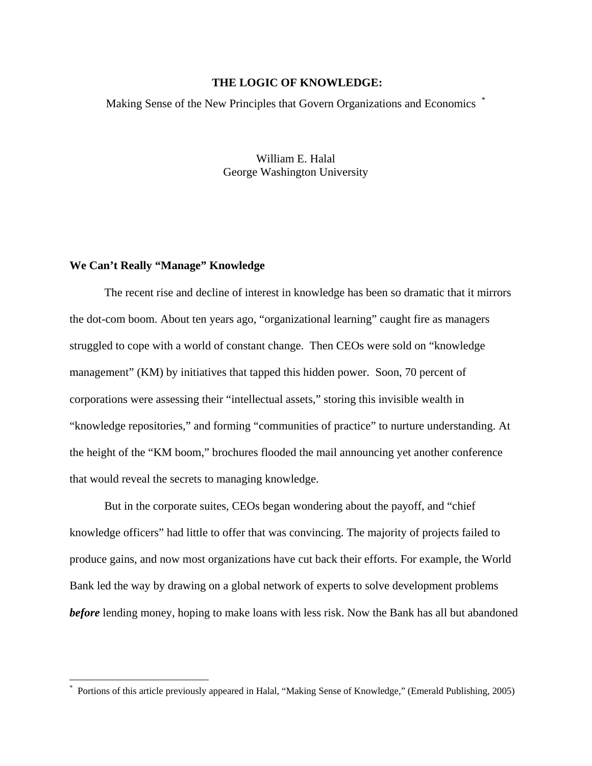# **THE LOGIC OF KNOWLEDGE:**

Making Sense of the New Principles that Govern Organizations and Economics  $\ddot{\hspace{1mm}}$ 

William E. Halal George Washington University

## **We Can't Really "Manage" Knowledge**

<u>.</u>

 The recent rise and decline of interest in knowledge has been so dramatic that it mirrors the dot-com boom. About ten years ago, "organizational learning" caught fire as managers struggled to cope with a world of constant change. Then CEOs were sold on "knowledge management" (KM) by initiatives that tapped this hidden power. Soon, 70 percent of corporations were assessing their "intellectual assets," storing this invisible wealth in "knowledge repositories," and forming "communities of practice" to nurture understanding. At the height of the "KM boom," brochures flooded the mail announcing yet another conference that would reveal the secrets to managing knowledge.

But in the corporate suites, CEOs began wondering about the payoff, and "chief knowledge officers" had little to offer that was convincing. The majority of projects failed to produce gains, and now most organizations have cut back their efforts. For example, the World Bank led the way by drawing on a global network of experts to solve development problems *before* lending money, hoping to make loans with less risk. Now the Bank has all but abandoned

<sup>\*</sup> Portions of this article previously appeared in Halal, "Making Sense of Knowledge," (Emerald Publishing, 2005)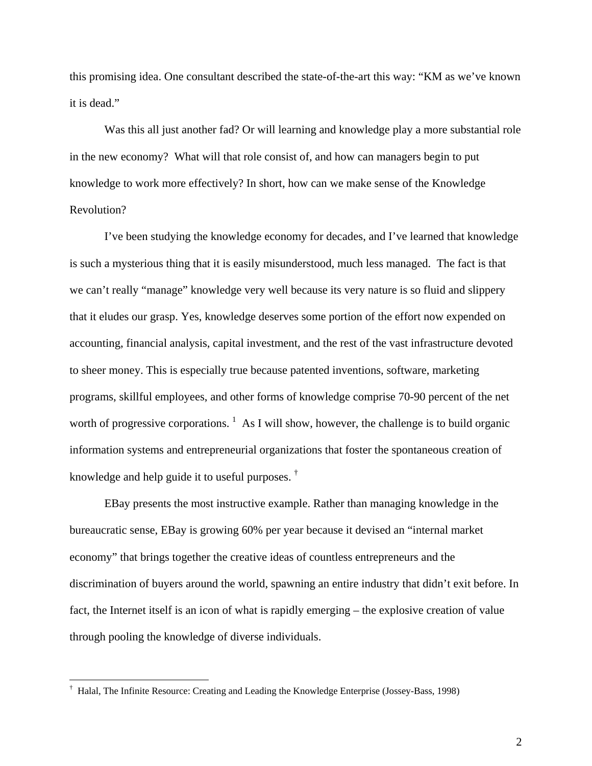this promising idea. One consultant described the state-of-the-art this way: "KM as we've known it is dead."

 Was this all just another fad? Or will learning and knowledge play a more substantial role in the new economy? What will that role consist of, and how can managers begin to put knowledge to work more effectively? In short, how can we make sense of the Knowledge Revolution?

I've been studying the knowledge economy for decades, and I've learned that knowledge is such a mysterious thing that it is easily misunderstood, much less managed. The fact is that we can't really "manage" knowledge very well because its very nature is so fluid and slippery that it eludes our grasp. Yes, knowledge deserves some portion of the effort now expended on accounting, financial analysis, capital investment, and the rest of the vast infrastructure devoted to sheer money. This is especially true because patented inventions, software, marketing programs, skillful employees, and other forms of knowledge comprise 70-90 percent of the net worth of progressive corporations.  $\frac{1}{1}$  As I will show, however, the challenge is to build organic information systems and entrepreneurial organizations that foster the spontaneous creation of knowledge and help guide it to useful purposes. †

EBay presents the most instructive example. Rather than managing knowledge in the bureaucratic sense, EBay is growing 60% per year because it devised an "internal market economy" that brings together the creative ideas of countless entrepreneurs and the discrimination of buyers around the world, spawning an entire industry that didn't exit before. In fact, the Internet itself is an icon of what is rapidly emerging – the explosive creation of value through pooling the knowledge of diverse individuals.

<u>.</u>

<sup>†</sup> Halal, The Infinite Resource: Creating and Leading the Knowledge Enterprise (Jossey-Bass, 1998)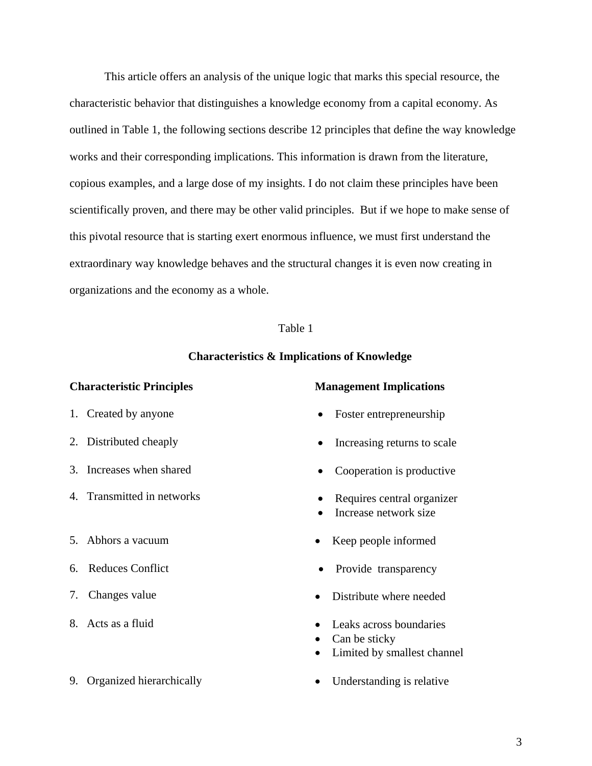This article offers an analysis of the unique logic that marks this special resource, the characteristic behavior that distinguishes a knowledge economy from a capital economy. As outlined in Table 1, the following sections describe 12 principles that define the way knowledge works and their corresponding implications. This information is drawn from the literature, copious examples, and a large dose of my insights. I do not claim these principles have been scientifically proven, and there may be other valid principles. But if we hope to make sense of this pivotal resource that is starting exert enormous influence, we must first understand the extraordinary way knowledge behaves and the structural changes it is even now creating in organizations and the economy as a whole.

## Table 1

## **Characteristics & Implications of Knowledge**

- 
- 
- 3. Increases when shared
- 4. Transmitted in networks
- 
- 6. Reduces Conflict
- 7. Changes value
- 
- 9. Organized hierarchically **•** Understanding is relative

### **Characteristic Principles Management Implications**

- 1. Created by anyone Foster entrepreneurship
- 2. Distributed cheaply **•** Increasing returns to scale
	- Cooperation is productive
	- Requires central organizer
	- Increase network size
- 5. Abhors a vacuum Keep people informed
	- Provide transparency
	- Distribute where needed
- 8. Acts as a fluid **•** Leaks across boundaries
	- Can be sticky
	- Limited by smallest channel
	-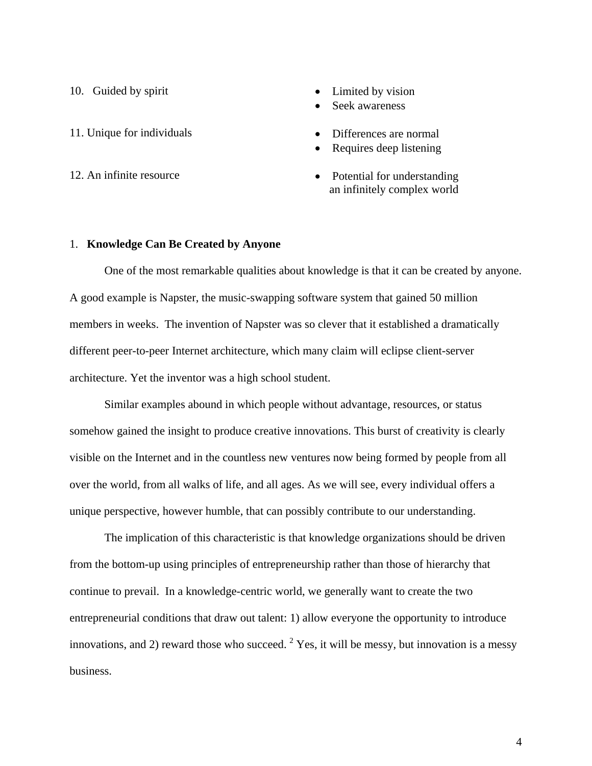10. Guided by spirit • Limited by vision

- 11. Unique for individuals **•** Differences are normal
- 
- 
- Seek awareness
- 
- Requires deep listening
- 12. An infinite resource Potential for understanding an infinitely complex world

### 1. **Knowledge Can Be Created by Anyone**

 One of the most remarkable qualities about knowledge is that it can be created by anyone. A good example is Napster, the music-swapping software system that gained 50 million members in weeks. The invention of Napster was so clever that it established a dramatically different peer-to-peer Internet architecture, which many claim will eclipse client-server architecture. Yet the inventor was a high school student.

Similar examples abound in which people without advantage, resources, or status somehow gained the insight to produce creative innovations. This burst of creativity is clearly visible on the Internet and in the countless new ventures now being formed by people from all over the world, from all walks of life, and all ages. As we will see, every individual offers a unique perspective, however humble, that can possibly contribute to our understanding.

The implication of this characteristic is that knowledge organizations should be driven from the bottom-up using principles of entrepreneurship rather than those of hierarchy that continue to prevail. In a knowledge-centric world, we generally want to create the two entrepreneurial conditions that draw out talent: 1) allow everyone the opportunity to introduce innovations, and 2) reward those who succeed.  $2$  Yes, it will be messy, but innovation is a messy business.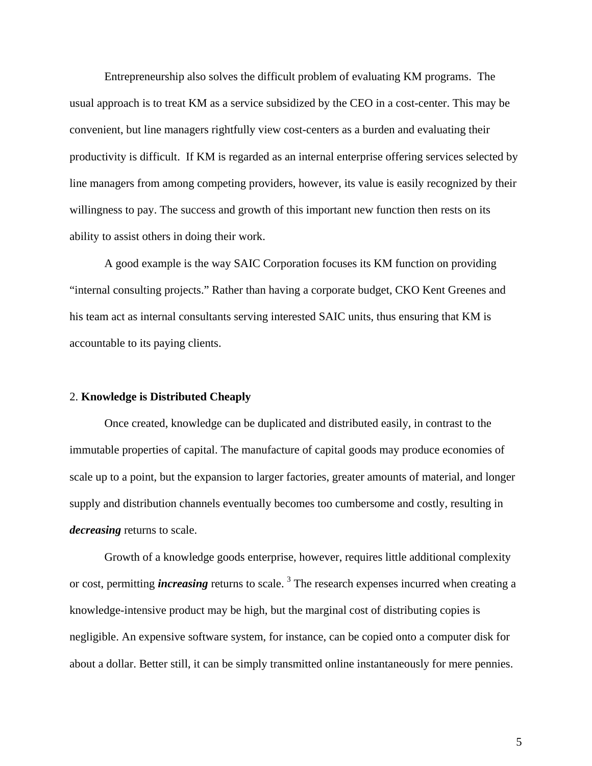Entrepreneurship also solves the difficult problem of evaluating KM programs. The usual approach is to treat KM as a service subsidized by the CEO in a cost-center. This may be convenient, but line managers rightfully view cost-centers as a burden and evaluating their productivity is difficult. If KM is regarded as an internal enterprise offering services selected by line managers from among competing providers, however, its value is easily recognized by their willingness to pay. The success and growth of this important new function then rests on its ability to assist others in doing their work.

A good example is the way SAIC Corporation focuses its KM function on providing "internal consulting projects." Rather than having a corporate budget, CKO Kent Greenes and his team act as internal consultants serving interested SAIC units, thus ensuring that KM is accountable to its paying clients.

#### 2. **Knowledge is Distributed Cheaply**

 Once created, knowledge can be duplicated and distributed easily, in contrast to the immutable properties of capital. The manufacture of capital goods may produce economies of scale up to a point, but the expansion to larger factories, greater amounts of material, and longer supply and distribution channels eventually becomes too cumbersome and costly, resulting in *decreasing* returns to scale.

Growth of a knowledge goods enterprise, however, requires little additional complexity or cost, permitting *increasing* returns to scale.<sup>3</sup> The research expenses incurred when creating a knowledge-intensive product may be high, but the marginal cost of distributing copies is negligible. An expensive software system, for instance, can be copied onto a computer disk for about a dollar. Better still, it can be simply transmitted online instantaneously for mere pennies.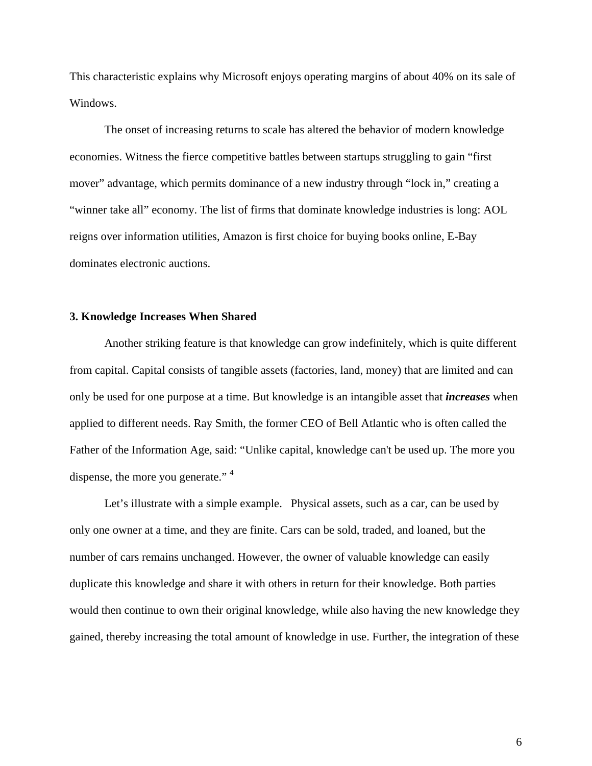This characteristic explains why Microsoft enjoys operating margins of about 40% on its sale of Windows.

 The onset of increasing returns to scale has altered the behavior of modern knowledge economies. Witness the fierce competitive battles between startups struggling to gain "first mover" advantage, which permits dominance of a new industry through "lock in," creating a "winner take all" economy. The list of firms that dominate knowledge industries is long: AOL reigns over information utilities, Amazon is first choice for buying books online, E-Bay dominates electronic auctions.

## **3. Knowledge Increases When Shared**

 Another striking feature is that knowledge can grow indefinitely, which is quite different from capital. Capital consists of tangible assets (factories, land, money) that are limited and can only be used for one purpose at a time. But knowledge is an intangible asset that *increases* when applied to different needs. Ray Smith, the former CEO of Bell Atlantic who is often called the Father of the Information Age, said: "Unlike capital, knowledge can't be used up. The more you dispense, the more you generate."<sup>4</sup>

 Let's illustrate with a simple example. Physical assets, such as a car, can be used by only one owner at a time, and they are finite. Cars can be sold, traded, and loaned, but the number of cars remains unchanged. However, the owner of valuable knowledge can easily duplicate this knowledge and share it with others in return for their knowledge. Both parties would then continue to own their original knowledge, while also having the new knowledge they gained, thereby increasing the total amount of knowledge in use. Further, the integration of these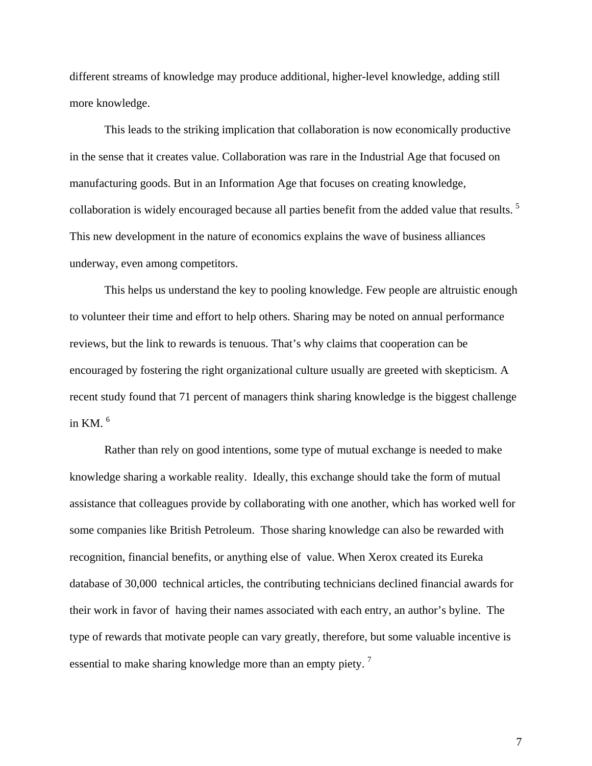different streams of knowledge may produce additional, higher-level knowledge, adding still more knowledge.

 This leads to the striking implication that collaboration is now economically productive in the sense that it creates value. Collaboration was rare in the Industrial Age that focused on manufacturing goods. But in an Information Age that focuses on creating knowledge, collaboration is widely encouraged because all parties benefit from the added value that results.<sup>5</sup> This new development in the nature of economics explains the wave of business alliances underway, even among competitors.

 This helps us understand the key to pooling knowledge. Few people are altruistic enough to volunteer their time and effort to help others. Sharing may be noted on annual performance reviews, but the link to rewards is tenuous. That's why claims that cooperation can be encouraged by fostering the right organizational culture usually are greeted with skepticism. A recent study found that 71 percent of managers think sharing knowledge is the biggest challenge in KM.  $<sup>6</sup>$ </sup>

 Rather than rely on good intentions, some type of mutual exchange is needed to make knowledge sharing a workable reality. Ideally, this exchange should take the form of mutual assistance that colleagues provide by collaborating with one another, which has worked well for some companies like British Petroleum. Those sharing knowledge can also be rewarded with recognition, financial benefits, or anything else of value. When Xerox created its Eureka database of 30,000 technical articles, the contributing technicians declined financial awards for their work in favor of having their names associated with each entry, an author's byline. The type of rewards that motivate people can vary greatly, therefore, but some valuable incentive is essential to make sharing knowledge more than an empty piety. 7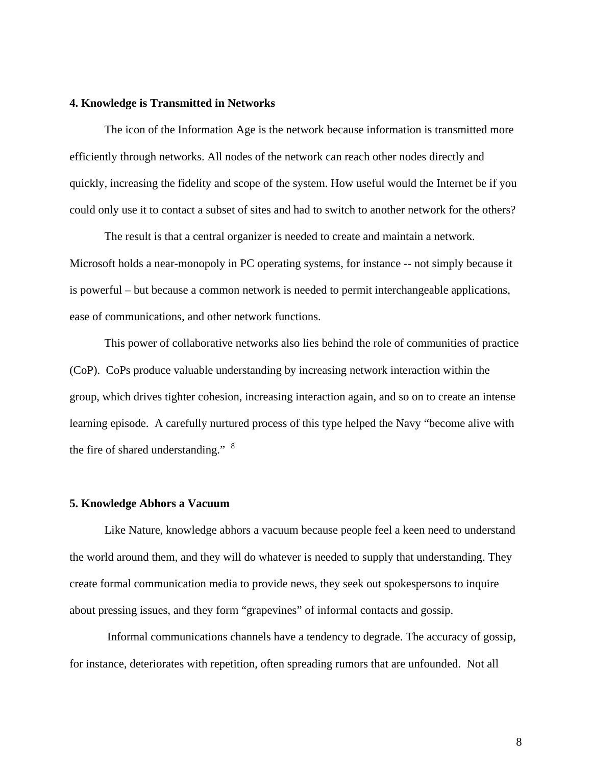## **4. Knowledge is Transmitted in Networks**

 The icon of the Information Age is the network because information is transmitted more efficiently through networks. All nodes of the network can reach other nodes directly and quickly, increasing the fidelity and scope of the system. How useful would the Internet be if you could only use it to contact a subset of sites and had to switch to another network for the others?

 The result is that a central organizer is needed to create and maintain a network. Microsoft holds a near-monopoly in PC operating systems, for instance -- not simply because it is powerful – but because a common network is needed to permit interchangeable applications, ease of communications, and other network functions.

 This power of collaborative networks also lies behind the role of communities of practice (CoP). CoPs produce valuable understanding by increasing network interaction within the group, which drives tighter cohesion, increasing interaction again, and so on to create an intense learning episode. A carefully nurtured process of this type helped the Navy "become alive with the fire of shared understanding." <sup>8</sup>

#### **5. Knowledge Abhors a Vacuum**

 Like Nature, knowledge abhors a vacuum because people feel a keen need to understand the world around them, and they will do whatever is needed to supply that understanding. They create formal communication media to provide news, they seek out spokespersons to inquire about pressing issues, and they form "grapevines" of informal contacts and gossip.

 Informal communications channels have a tendency to degrade. The accuracy of gossip, for instance, deteriorates with repetition, often spreading rumors that are unfounded. Not all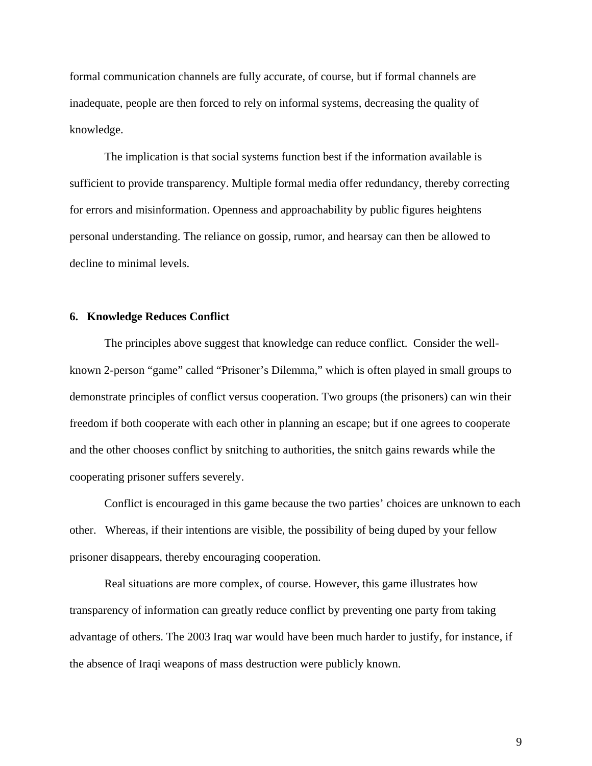formal communication channels are fully accurate, of course, but if formal channels are inadequate, people are then forced to rely on informal systems, decreasing the quality of knowledge.

 The implication is that social systems function best if the information available is sufficient to provide transparency. Multiple formal media offer redundancy, thereby correcting for errors and misinformation. Openness and approachability by public figures heightens personal understanding. The reliance on gossip, rumor, and hearsay can then be allowed to decline to minimal levels.

## **6. Knowledge Reduces Conflict**

The principles above suggest that knowledge can reduce conflict. Consider the wellknown 2-person "game" called "Prisoner's Dilemma," which is often played in small groups to demonstrate principles of conflict versus cooperation. Two groups (the prisoners) can win their freedom if both cooperate with each other in planning an escape; but if one agrees to cooperate and the other chooses conflict by snitching to authorities, the snitch gains rewards while the cooperating prisoner suffers severely.

 Conflict is encouraged in this game because the two parties' choices are unknown to each other. Whereas, if their intentions are visible, the possibility of being duped by your fellow prisoner disappears, thereby encouraging cooperation.

 Real situations are more complex, of course. However, this game illustrates how transparency of information can greatly reduce conflict by preventing one party from taking advantage of others. The 2003 Iraq war would have been much harder to justify, for instance, if the absence of Iraqi weapons of mass destruction were publicly known.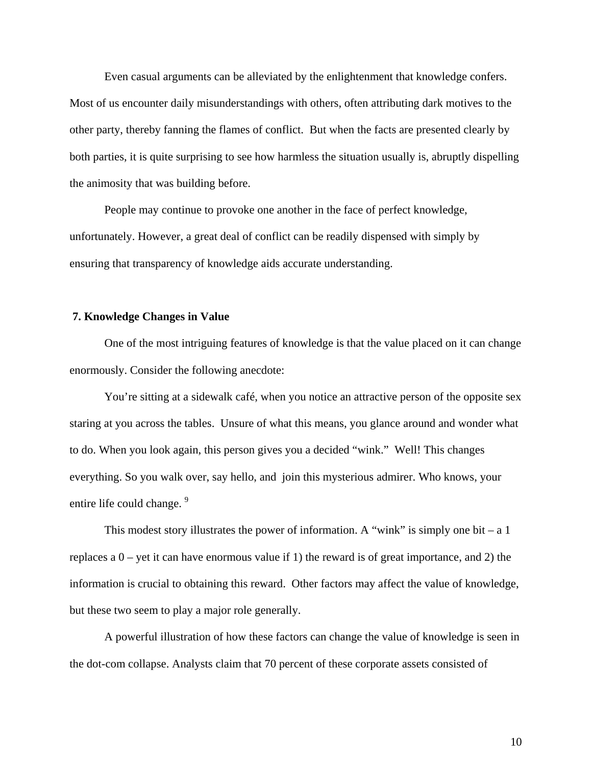Even casual arguments can be alleviated by the enlightenment that knowledge confers. Most of us encounter daily misunderstandings with others, often attributing dark motives to the other party, thereby fanning the flames of conflict. But when the facts are presented clearly by both parties, it is quite surprising to see how harmless the situation usually is, abruptly dispelling the animosity that was building before.

 People may continue to provoke one another in the face of perfect knowledge, unfortunately. However, a great deal of conflict can be readily dispensed with simply by ensuring that transparency of knowledge aids accurate understanding.

### **7. Knowledge Changes in Value**

 One of the most intriguing features of knowledge is that the value placed on it can change enormously. Consider the following anecdote:

 You're sitting at a sidewalk café, when you notice an attractive person of the opposite sex staring at you across the tables. Unsure of what this means, you glance around and wonder what to do. When you look again, this person gives you a decided "wink." Well! This changes everything. So you walk over, say hello, and join this mysterious admirer. Who knows, your entire life could change.<sup>9</sup>

This modest story illustrates the power of information. A "wink" is simply one bit – a 1 replaces a  $0$  – yet it can have enormous value if 1) the reward is of great importance, and 2) the information is crucial to obtaining this reward. Other factors may affect the value of knowledge, but these two seem to play a major role generally.

 A powerful illustration of how these factors can change the value of knowledge is seen in the dot-com collapse. Analysts claim that 70 percent of these corporate assets consisted of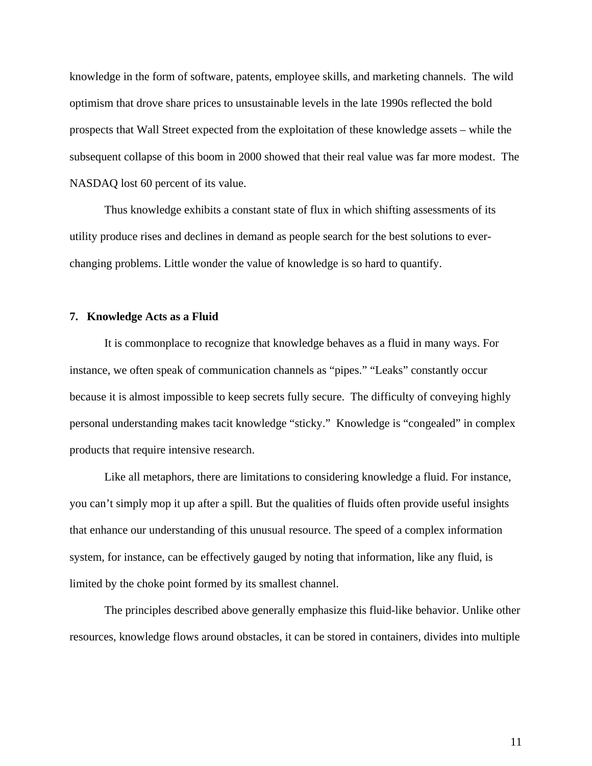knowledge in the form of software, patents, employee skills, and marketing channels. The wild optimism that drove share prices to unsustainable levels in the late 1990s reflected the bold prospects that Wall Street expected from the exploitation of these knowledge assets – while the subsequent collapse of this boom in 2000 showed that their real value was far more modest. The NASDAQ lost 60 percent of its value.

Thus knowledge exhibits a constant state of flux in which shifting assessments of its utility produce rises and declines in demand as people search for the best solutions to everchanging problems. Little wonder the value of knowledge is so hard to quantify.

### **7. Knowledge Acts as a Fluid**

 It is commonplace to recognize that knowledge behaves as a fluid in many ways. For instance, we often speak of communication channels as "pipes." "Leaks" constantly occur because it is almost impossible to keep secrets fully secure. The difficulty of conveying highly personal understanding makes tacit knowledge "sticky." Knowledge is "congealed" in complex products that require intensive research.

 Like all metaphors, there are limitations to considering knowledge a fluid. For instance, you can't simply mop it up after a spill. But the qualities of fluids often provide useful insights that enhance our understanding of this unusual resource. The speed of a complex information system, for instance, can be effectively gauged by noting that information, like any fluid, is limited by the choke point formed by its smallest channel.

The principles described above generally emphasize this fluid-like behavior. Unlike other resources, knowledge flows around obstacles, it can be stored in containers, divides into multiple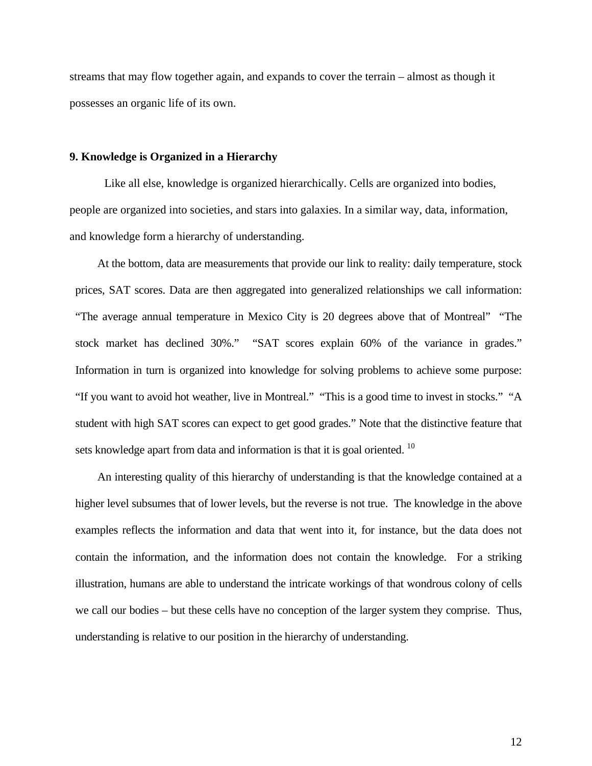streams that may flow together again, and expands to cover the terrain – almost as though it possesses an organic life of its own.

## **9. Knowledge is Organized in a Hierarchy**

 Like all else, knowledge is organized hierarchically. Cells are organized into bodies, people are organized into societies, and stars into galaxies. In a similar way, data, information, and knowledge form a hierarchy of understanding.

 At the bottom, data are measurements that provide our link to reality: daily temperature, stock prices, SAT scores. Data are then aggregated into generalized relationships we call information: "The average annual temperature in Mexico City is 20 degrees above that of Montreal" "The stock market has declined 30%." "SAT scores explain 60% of the variance in grades." Information in turn is organized into knowledge for solving problems to achieve some purpose: "If you want to avoid hot weather, live in Montreal." "This is a good time to invest in stocks." "A student with high SAT scores can expect to get good grades." Note that the distinctive feature that sets knowledge apart from data and information is that it is goal oriented.<sup>10</sup>

 An interesting quality of this hierarchy of understanding is that the knowledge contained at a higher level subsumes that of lower levels, but the reverse is not true. The knowledge in the above examples reflects the information and data that went into it, for instance, but the data does not contain the information, and the information does not contain the knowledge. For a striking illustration, humans are able to understand the intricate workings of that wondrous colony of cells we call our bodies – but these cells have no conception of the larger system they comprise. Thus, understanding is relative to our position in the hierarchy of understanding.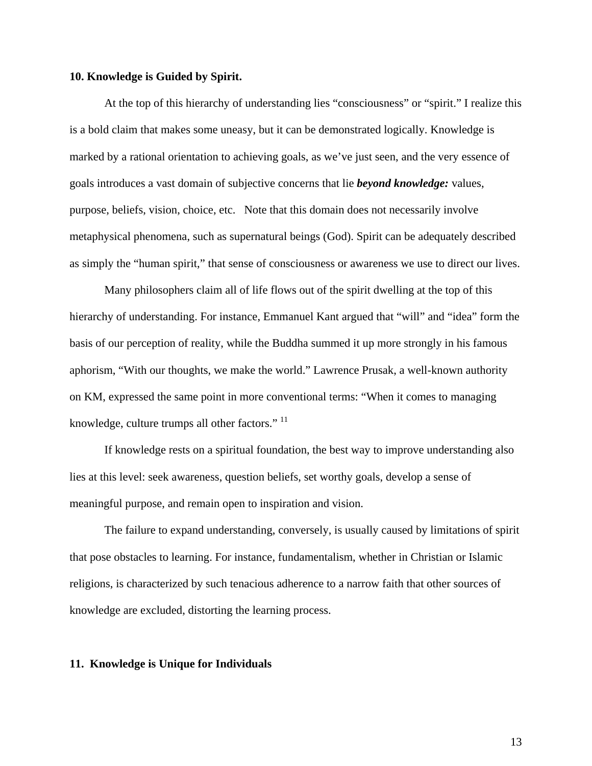## **10. Knowledge is Guided by Spirit.**

 At the top of this hierarchy of understanding lies "consciousness" or "spirit." I realize this is a bold claim that makes some uneasy, but it can be demonstrated logically. Knowledge is marked by a rational orientation to achieving goals, as we've just seen, and the very essence of goals introduces a vast domain of subjective concerns that lie *beyond knowledge:* values, purpose, beliefs, vision, choice, etc. Note that this domain does not necessarily involve metaphysical phenomena, such as supernatural beings (God). Spirit can be adequately described as simply the "human spirit," that sense of consciousness or awareness we use to direct our lives.

 Many philosophers claim all of life flows out of the spirit dwelling at the top of this hierarchy of understanding. For instance, Emmanuel Kant argued that "will" and "idea" form the basis of our perception of reality, while the Buddha summed it up more strongly in his famous aphorism, "With our thoughts, we make the world." Lawrence Prusak, a well-known authority on KM, expressed the same point in more conventional terms: "When it comes to managing knowledge, culture trumps all other factors." <sup>11</sup>

 If knowledge rests on a spiritual foundation, the best way to improve understanding also lies at this level: seek awareness, question beliefs, set worthy goals, develop a sense of meaningful purpose, and remain open to inspiration and vision.

 The failure to expand understanding, conversely, is usually caused by limitations of spirit that pose obstacles to learning. For instance, fundamentalism, whether in Christian or Islamic religions, is characterized by such tenacious adherence to a narrow faith that other sources of knowledge are excluded, distorting the learning process.

### **11. Knowledge is Unique for Individuals**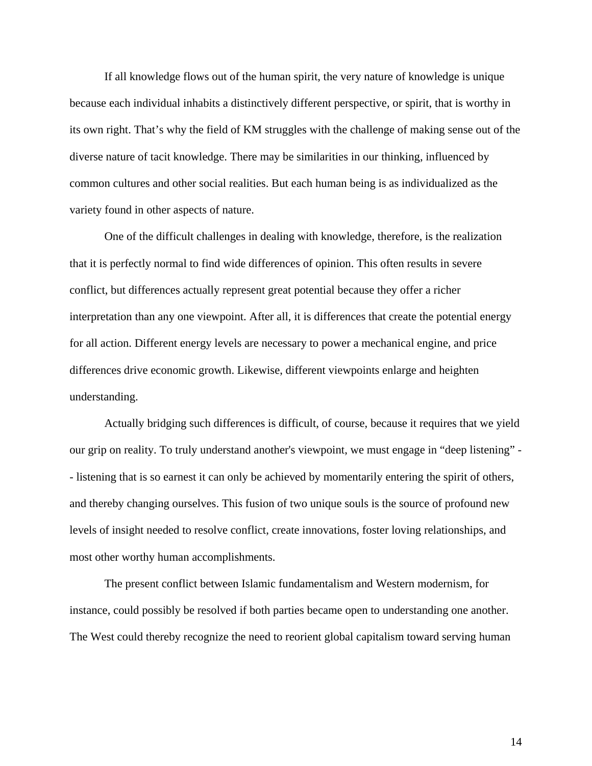If all knowledge flows out of the human spirit, the very nature of knowledge is unique because each individual inhabits a distinctively different perspective, or spirit, that is worthy in its own right. That's why the field of KM struggles with the challenge of making sense out of the diverse nature of tacit knowledge. There may be similarities in our thinking, influenced by common cultures and other social realities. But each human being is as individualized as the variety found in other aspects of nature.

One of the difficult challenges in dealing with knowledge, therefore, is the realization that it is perfectly normal to find wide differences of opinion. This often results in severe conflict, but differences actually represent great potential because they offer a richer interpretation than any one viewpoint. After all, it is differences that create the potential energy for all action. Different energy levels are necessary to power a mechanical engine, and price differences drive economic growth. Likewise, different viewpoints enlarge and heighten understanding.

 Actually bridging such differences is difficult, of course, because it requires that we yield our grip on reality. To truly understand another's viewpoint, we must engage in "deep listening" - - listening that is so earnest it can only be achieved by momentarily entering the spirit of others, and thereby changing ourselves. This fusion of two unique souls is the source of profound new levels of insight needed to resolve conflict, create innovations, foster loving relationships, and most other worthy human accomplishments.

 The present conflict between Islamic fundamentalism and Western modernism, for instance, could possibly be resolved if both parties became open to understanding one another. The West could thereby recognize the need to reorient global capitalism toward serving human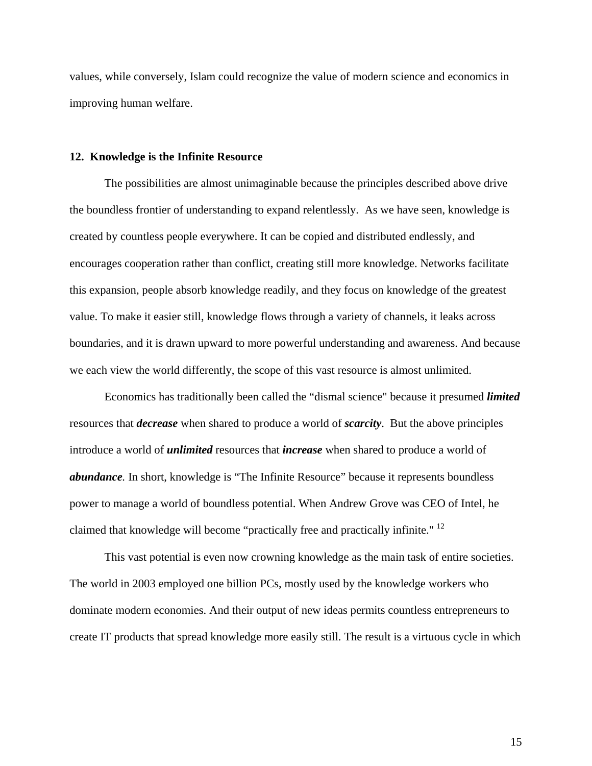values, while conversely, Islam could recognize the value of modern science and economics in improving human welfare.

## **12. Knowledge is the Infinite Resource**

 The possibilities are almost unimaginable because the principles described above drive the boundless frontier of understanding to expand relentlessly. As we have seen, knowledge is created by countless people everywhere. It can be copied and distributed endlessly, and encourages cooperation rather than conflict, creating still more knowledge. Networks facilitate this expansion, people absorb knowledge readily, and they focus on knowledge of the greatest value. To make it easier still, knowledge flows through a variety of channels, it leaks across boundaries, and it is drawn upward to more powerful understanding and awareness. And because we each view the world differently, the scope of this vast resource is almost unlimited.

 Economics has traditionally been called the "dismal science" because it presumed *limited* resources that *decrease* when shared to produce a world of *scarcity*. But the above principles introduce a world of *unlimited* resources that *increase* when shared to produce a world of *abundance.* In short, knowledge is "The Infinite Resource" because it represents boundless power to manage a world of boundless potential. When Andrew Grove was CEO of Intel, he claimed that knowledge will become "practically free and practically infinite." <sup>12</sup>

 This vast potential is even now crowning knowledge as the main task of entire societies. The world in 2003 employed one billion PCs, mostly used by the knowledge workers who dominate modern economies. And their output of new ideas permits countless entrepreneurs to create IT products that spread knowledge more easily still. The result is a virtuous cycle in which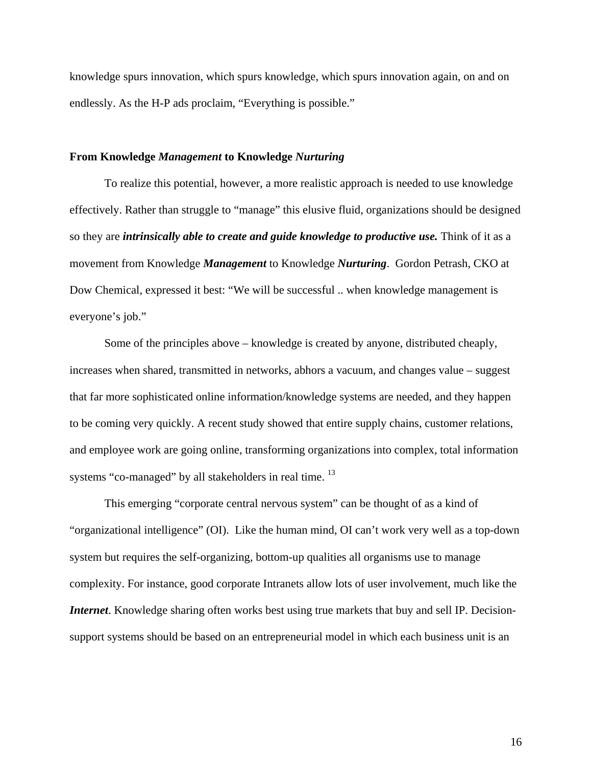knowledge spurs innovation, which spurs knowledge, which spurs innovation again, on and on endlessly. As the H-P ads proclaim, "Everything is possible."

## **From Knowledge** *Management* **to Knowledge** *Nurturing*

 To realize this potential, however, a more realistic approach is needed to use knowledge effectively. Rather than struggle to "manage" this elusive fluid, organizations should be designed so they are *intrinsically able to create and guide knowledge to productive use.* Think of it as a movement from Knowledge *Management* to Knowledge *Nurturing*. Gordon Petrash, CKO at Dow Chemical, expressed it best: "We will be successful .. when knowledge management is everyone's job."

 Some of the principles above – knowledge is created by anyone, distributed cheaply, increases when shared, transmitted in networks, abhors a vacuum, and changes value – suggest that far more sophisticated online information/knowledge systems are needed, and they happen to be coming very quickly. A recent study showed that entire supply chains, customer relations, and employee work are going online, transforming organizations into complex, total information systems "co-managed" by all stakeholders in real time. <sup>13</sup>

 This emerging "corporate central nervous system" can be thought of as a kind of "organizational intelligence" (OI). Like the human mind, OI can't work very well as a top-down system but requires the self-organizing, bottom-up qualities all organisms use to manage complexity. For instance, good corporate Intranets allow lots of user involvement, much like the *Internet*. Knowledge sharing often works best using true markets that buy and sell IP. Decisionsupport systems should be based on an entrepreneurial model in which each business unit is an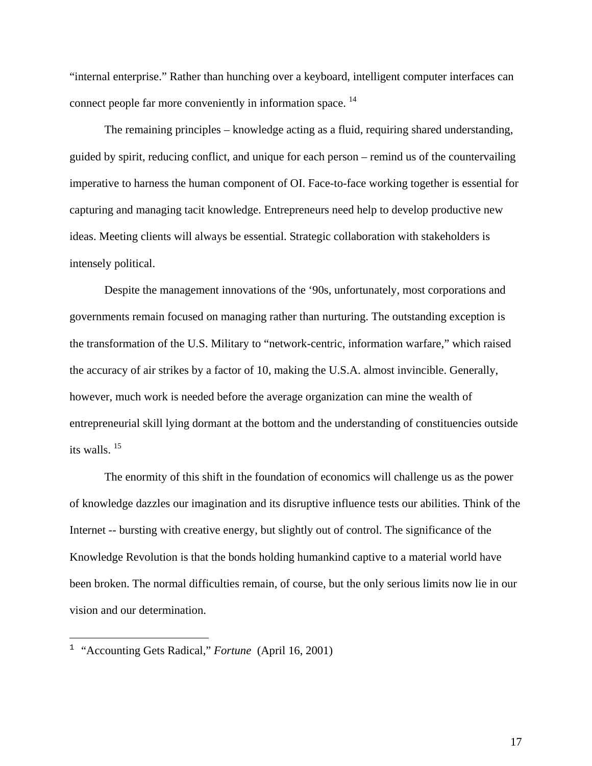"internal enterprise." Rather than hunching over a keyboard, intelligent computer interfaces can connect people far more conveniently in information space.<sup>14</sup>

 The remaining principles – knowledge acting as a fluid, requiring shared understanding, guided by spirit, reducing conflict, and unique for each person – remind us of the countervailing imperative to harness the human component of OI. Face-to-face working together is essential for capturing and managing tacit knowledge. Entrepreneurs need help to develop productive new ideas. Meeting clients will always be essential. Strategic collaboration with stakeholders is intensely political.

 Despite the management innovations of the '90s, unfortunately, most corporations and governments remain focused on managing rather than nurturing. The outstanding exception is the transformation of the U.S. Military to "network-centric, information warfare," which raised the accuracy of air strikes by a factor of 10, making the U.S.A. almost invincible. Generally, however, much work is needed before the average organization can mine the wealth of entrepreneurial skill lying dormant at the bottom and the understanding of constituencies outside its walls. 15

 The enormity of this shift in the foundation of economics will challenge us as the power of knowledge dazzles our imagination and its disruptive influence tests our abilities. Think of the Internet -- bursting with creative energy, but slightly out of control. The significance of the Knowledge Revolution is that the bonds holding humankind captive to a material world have been broken. The normal difficulties remain, of course, but the only serious limits now lie in our vision and our determination.

 $\overline{a}$ 

<sup>1</sup> "Accounting Gets Radical," *Fortune* (April 16, 2001)